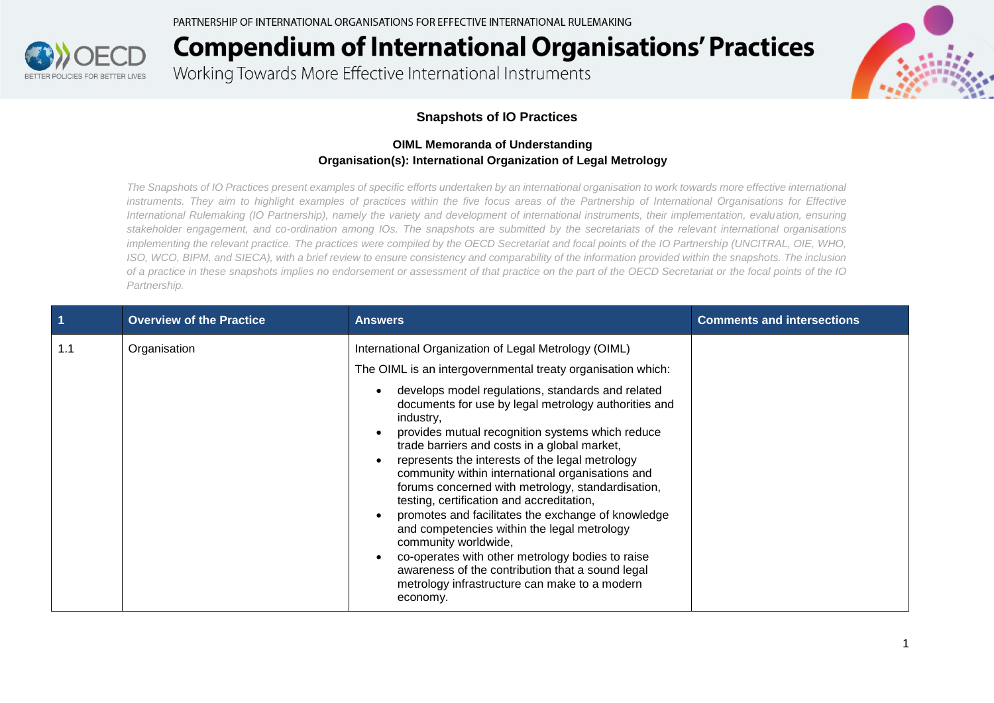

Working Towards More Effective International Instruments



#### **Snapshots of IO Practices**

#### **OIML Memoranda of Understanding Organisation(s): International Organization of Legal Metrology**

*The Snapshots of IO Practices present examples of specific efforts undertaken by an international organisation to work towards more effective international*  instruments. They aim to highlight examples of practices within the five focus areas of the Partnership of International Organisations for Effective *International Rulemaking (IO Partnership), namely the variety and development of international instruments, their implementation, evaluation, ensuring stakeholder engagement, and co-ordination among IOs. The snapshots are submitted by the secretariats of the relevant international organisations implementing the relevant practice. The practices were compiled by the OECD Secretariat and focal points of the IO Partnership (UNCITRAL, OIE, WHO, ISO, WCO, BIPM, and SIECA), with a brief review to ensure consistency and comparability of the information provided within the snapshots. The inclusion of a practice in these snapshots implies no endorsement or assessment of that practice on the part of the OECD Secretariat or the focal points of the IO Partnership.*

|     | <b>Overview of the Practice</b> | <b>Answers</b>                                                                                                                                                                                                                                                                                                                                                                                                                                                                                                                                                                                                                                                                                                                                                                                                                                                                                                   | <b>Comments and intersections</b> |
|-----|---------------------------------|------------------------------------------------------------------------------------------------------------------------------------------------------------------------------------------------------------------------------------------------------------------------------------------------------------------------------------------------------------------------------------------------------------------------------------------------------------------------------------------------------------------------------------------------------------------------------------------------------------------------------------------------------------------------------------------------------------------------------------------------------------------------------------------------------------------------------------------------------------------------------------------------------------------|-----------------------------------|
| 1.1 | Organisation                    | International Organization of Legal Metrology (OIML)<br>The OIML is an intergovernmental treaty organisation which:<br>develops model regulations, standards and related<br>$\bullet$<br>documents for use by legal metrology authorities and<br>industry,<br>provides mutual recognition systems which reduce<br>$\bullet$<br>trade barriers and costs in a global market,<br>represents the interests of the legal metrology<br>$\bullet$<br>community within international organisations and<br>forums concerned with metrology, standardisation,<br>testing, certification and accreditation,<br>promotes and facilitates the exchange of knowledge<br>and competencies within the legal metrology<br>community worldwide,<br>co-operates with other metrology bodies to raise<br>$\bullet$<br>awareness of the contribution that a sound legal<br>metrology infrastructure can make to a modern<br>economy. |                                   |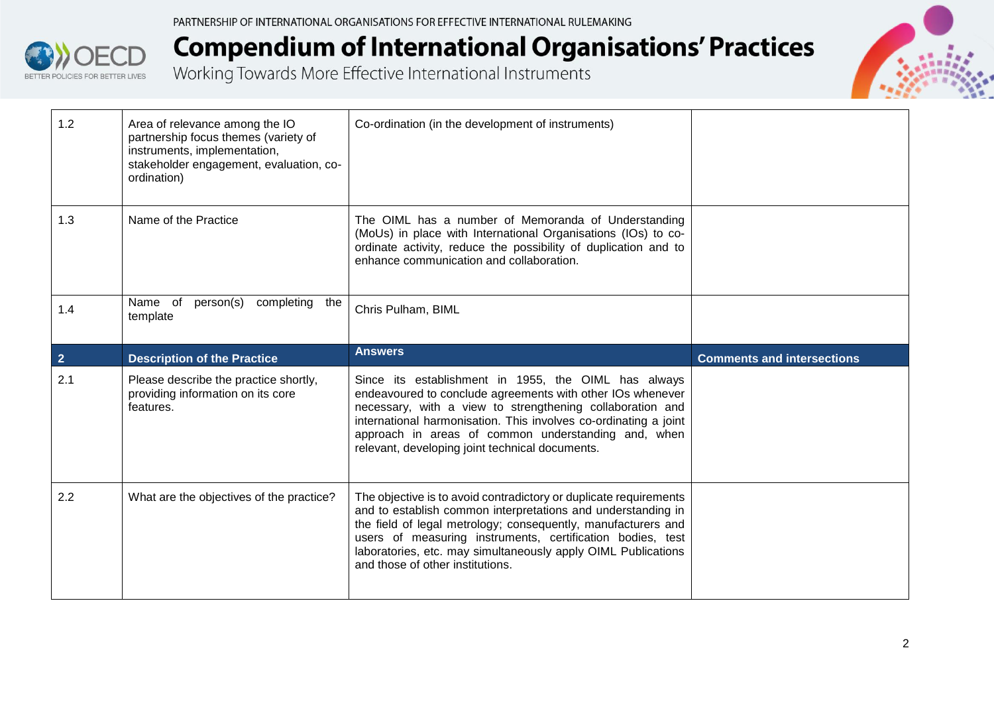

| 1.2            | Area of relevance among the IO<br>partnership focus themes (variety of<br>instruments, implementation,<br>stakeholder engagement, evaluation, co-<br>ordination) | Co-ordination (in the development of instruments)                                                                                                                                                                                                                                                                                                             |                                   |
|----------------|------------------------------------------------------------------------------------------------------------------------------------------------------------------|---------------------------------------------------------------------------------------------------------------------------------------------------------------------------------------------------------------------------------------------------------------------------------------------------------------------------------------------------------------|-----------------------------------|
| 1.3            | Name of the Practice                                                                                                                                             | The OIML has a number of Memoranda of Understanding<br>(MoUs) in place with International Organisations (IOs) to co-<br>ordinate activity, reduce the possibility of duplication and to<br>enhance communication and collaboration.                                                                                                                           |                                   |
| 1.4            | Name of<br>person(s)<br>completing<br>the<br>template                                                                                                            | Chris Pulham, BIML                                                                                                                                                                                                                                                                                                                                            |                                   |
|                |                                                                                                                                                                  | <b>Answers</b>                                                                                                                                                                                                                                                                                                                                                |                                   |
| $\overline{2}$ | <b>Description of the Practice</b>                                                                                                                               |                                                                                                                                                                                                                                                                                                                                                               | <b>Comments and intersections</b> |
| 2.1            | Please describe the practice shortly,<br>providing information on its core<br>features.                                                                          | Since its establishment in 1955, the OIML has always<br>endeavoured to conclude agreements with other IOs whenever<br>necessary, with a view to strengthening collaboration and<br>international harmonisation. This involves co-ordinating a joint<br>approach in areas of common understanding and, when<br>relevant, developing joint technical documents. |                                   |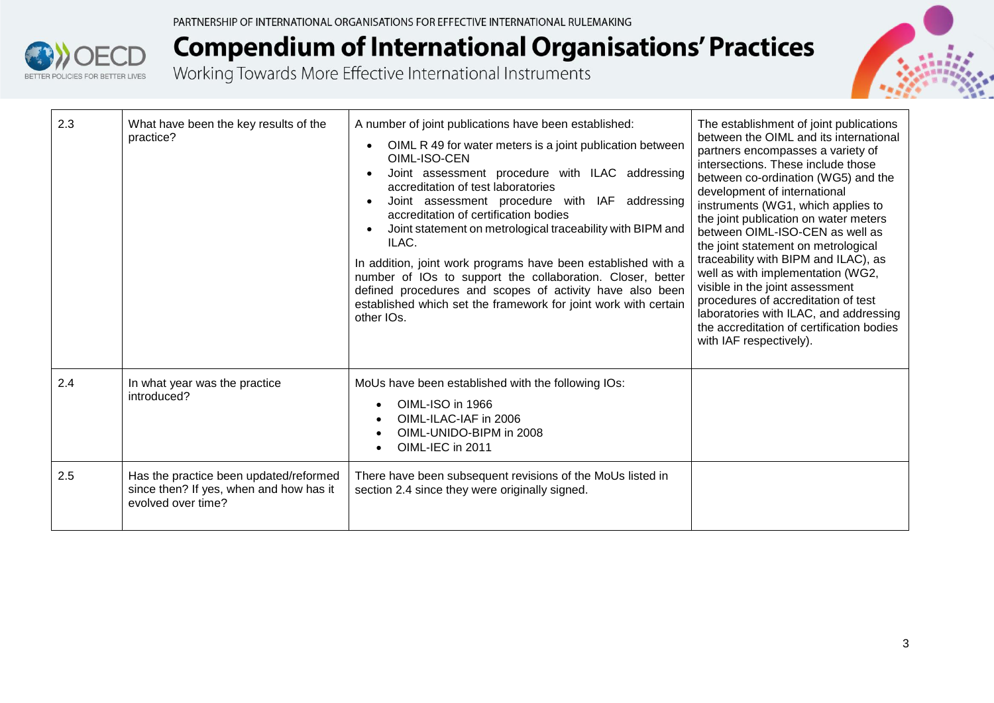



| 2.3 | What have been the key results of the<br>practice?                                                      | A number of joint publications have been established:<br>OIML R 49 for water meters is a joint publication between<br>OIML-ISO-CEN<br>Joint assessment procedure with ILAC addressing<br>accreditation of test laboratories<br>Joint assessment procedure with IAF addressing<br>accreditation of certification bodies<br>Joint statement on metrological traceability with BIPM and<br>ILAC.<br>In addition, joint work programs have been established with a<br>number of IOs to support the collaboration. Closer, better<br>defined procedures and scopes of activity have also been<br>established which set the framework for joint work with certain<br>other IOs. | The establishment of joint publications<br>between the OIML and its international<br>partners encompasses a variety of<br>intersections. These include those<br>between co-ordination (WG5) and the<br>development of international<br>instruments (WG1, which applies to<br>the joint publication on water meters<br>between OIML-ISO-CEN as well as<br>the joint statement on metrological<br>traceability with BIPM and ILAC), as<br>well as with implementation (WG2,<br>visible in the joint assessment<br>procedures of accreditation of test<br>laboratories with ILAC, and addressing<br>the accreditation of certification bodies<br>with IAF respectively). |
|-----|---------------------------------------------------------------------------------------------------------|---------------------------------------------------------------------------------------------------------------------------------------------------------------------------------------------------------------------------------------------------------------------------------------------------------------------------------------------------------------------------------------------------------------------------------------------------------------------------------------------------------------------------------------------------------------------------------------------------------------------------------------------------------------------------|-----------------------------------------------------------------------------------------------------------------------------------------------------------------------------------------------------------------------------------------------------------------------------------------------------------------------------------------------------------------------------------------------------------------------------------------------------------------------------------------------------------------------------------------------------------------------------------------------------------------------------------------------------------------------|
| 2.4 | In what year was the practice<br>introduced?                                                            | MoUs have been established with the following IOs:<br>OIML-ISO in 1966<br>OIML-ILAC-IAF in 2006<br>OIML-UNIDO-BIPM in 2008<br>OIML-IEC in 2011                                                                                                                                                                                                                                                                                                                                                                                                                                                                                                                            |                                                                                                                                                                                                                                                                                                                                                                                                                                                                                                                                                                                                                                                                       |
| 2.5 | Has the practice been updated/reformed<br>since then? If yes, when and how has it<br>evolved over time? | There have been subsequent revisions of the MoUs listed in<br>section 2.4 since they were originally signed.                                                                                                                                                                                                                                                                                                                                                                                                                                                                                                                                                              |                                                                                                                                                                                                                                                                                                                                                                                                                                                                                                                                                                                                                                                                       |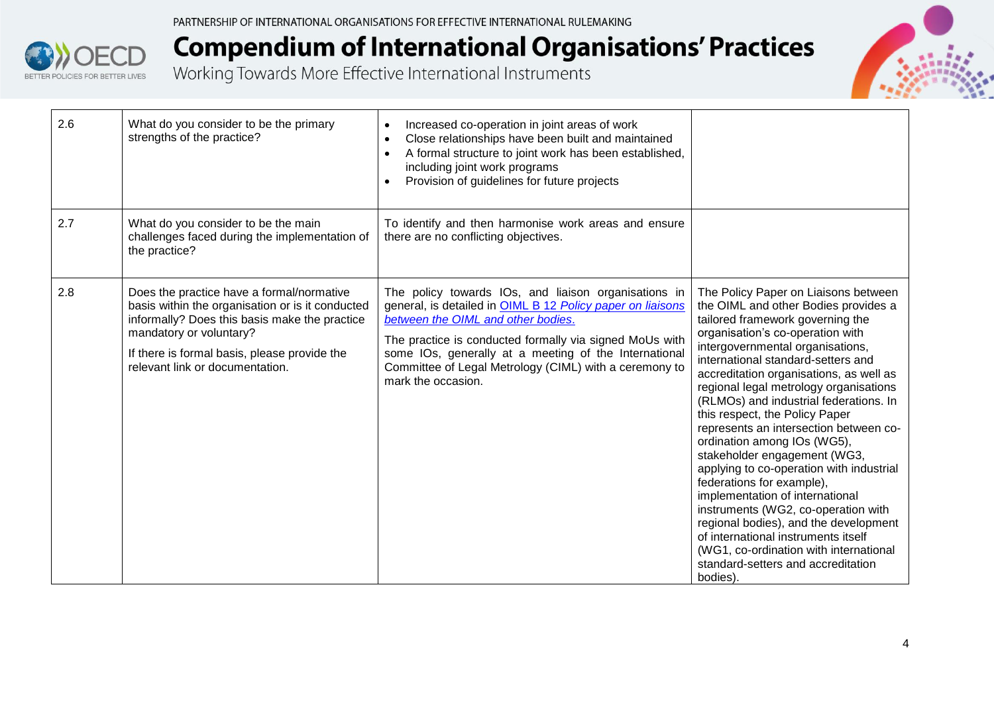



| 2.6 | What do you consider to be the primary<br>strengths of the practice?                                                                                                                                                                                         | Increased co-operation in joint areas of work<br>$\bullet$<br>Close relationships have been built and maintained<br>$\bullet$<br>A formal structure to joint work has been established,<br>$\bullet$<br>including joint work programs<br>Provision of guidelines for future projects<br>$\bullet$                                                            |                                                                                                                                                                                                                                                                                                                                                                                                                                                                                                                                                                                                                                                                                                                                                                                                                                         |
|-----|--------------------------------------------------------------------------------------------------------------------------------------------------------------------------------------------------------------------------------------------------------------|--------------------------------------------------------------------------------------------------------------------------------------------------------------------------------------------------------------------------------------------------------------------------------------------------------------------------------------------------------------|-----------------------------------------------------------------------------------------------------------------------------------------------------------------------------------------------------------------------------------------------------------------------------------------------------------------------------------------------------------------------------------------------------------------------------------------------------------------------------------------------------------------------------------------------------------------------------------------------------------------------------------------------------------------------------------------------------------------------------------------------------------------------------------------------------------------------------------------|
| 2.7 | What do you consider to be the main<br>challenges faced during the implementation of<br>the practice?                                                                                                                                                        | To identify and then harmonise work areas and ensure<br>there are no conflicting objectives.                                                                                                                                                                                                                                                                 |                                                                                                                                                                                                                                                                                                                                                                                                                                                                                                                                                                                                                                                                                                                                                                                                                                         |
| 2.8 | Does the practice have a formal/normative<br>basis within the organisation or is it conducted<br>informally? Does this basis make the practice<br>mandatory or voluntary?<br>If there is formal basis, please provide the<br>relevant link or documentation. | The policy towards IOs, and liaison organisations in<br>general, is detailed in OIML B 12 Policy paper on liaisons<br>between the OIML and other bodies.<br>The practice is conducted formally via signed MoUs with<br>some IOs, generally at a meeting of the International<br>Committee of Legal Metrology (CIML) with a ceremony to<br>mark the occasion. | The Policy Paper on Liaisons between<br>the OIML and other Bodies provides a<br>tailored framework governing the<br>organisation's co-operation with<br>intergovernmental organisations,<br>international standard-setters and<br>accreditation organisations, as well as<br>regional legal metrology organisations<br>(RLMOs) and industrial federations. In<br>this respect, the Policy Paper<br>represents an intersection between co-<br>ordination among IOs (WG5),<br>stakeholder engagement (WG3,<br>applying to co-operation with industrial<br>federations for example),<br>implementation of international<br>instruments (WG2, co-operation with<br>regional bodies), and the development<br>of international instruments itself<br>(WG1, co-ordination with international<br>standard-setters and accreditation<br>bodies). |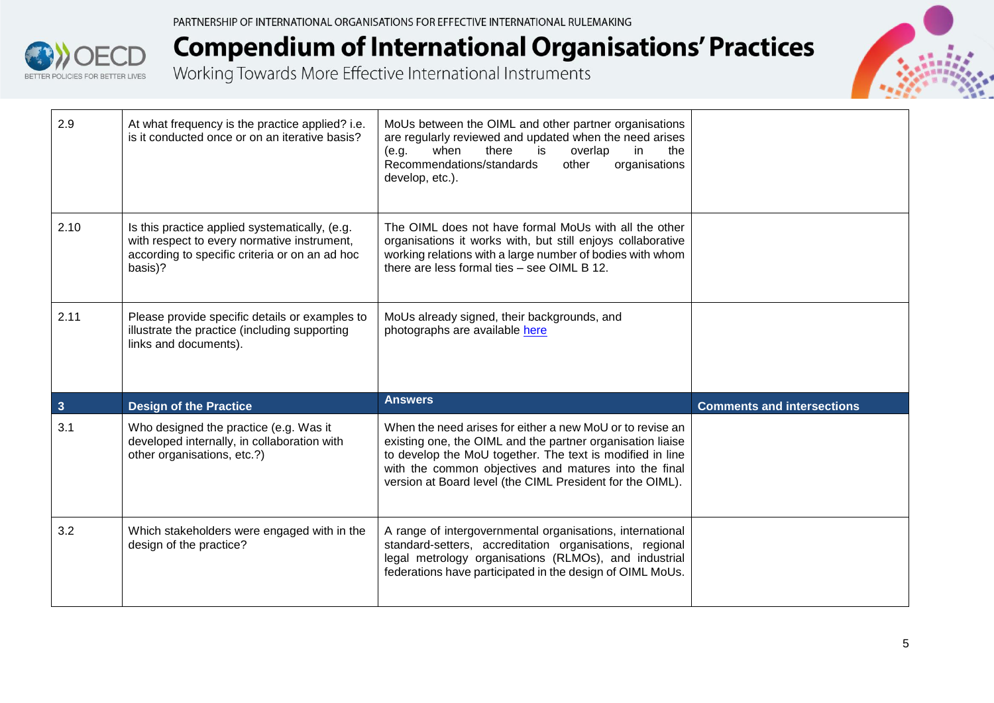



| 2.9          | At what frequency is the practice applied? i.e.<br>is it conducted once or on an iterative basis?                                                          | MoUs between the OIML and other partner organisations<br>are regularly reviewed and updated when the need arises<br>is<br>when<br>there<br>overlap<br>in<br>the<br>(e.g.<br>Recommendations/standards<br>organisations<br>other<br>develop, etc.).                                                         |                                   |
|--------------|------------------------------------------------------------------------------------------------------------------------------------------------------------|------------------------------------------------------------------------------------------------------------------------------------------------------------------------------------------------------------------------------------------------------------------------------------------------------------|-----------------------------------|
| 2.10         | Is this practice applied systematically, (e.g.<br>with respect to every normative instrument,<br>according to specific criteria or on an ad hoc<br>basis)? | The OIML does not have formal MoUs with all the other<br>organisations it works with, but still enjoys collaborative<br>working relations with a large number of bodies with whom<br>there are less formal ties - see OIML B 12.                                                                           |                                   |
| 2.11         | Please provide specific details or examples to<br>illustrate the practice (including supporting<br>links and documents).                                   | MoUs already signed, their backgrounds, and<br>photographs are available here                                                                                                                                                                                                                              |                                   |
| $\mathbf{3}$ | <b>Design of the Practice</b>                                                                                                                              | <b>Answers</b>                                                                                                                                                                                                                                                                                             | <b>Comments and intersections</b> |
| 3.1          | Who designed the practice (e.g. Was it<br>developed internally, in collaboration with<br>other organisations, etc.?)                                       | When the need arises for either a new MoU or to revise an<br>existing one, the OIML and the partner organisation liaise<br>to develop the MoU together. The text is modified in line<br>with the common objectives and matures into the final<br>version at Board level (the CIML President for the OIML). |                                   |
| 3.2          | Which stakeholders were engaged with in the<br>design of the practice?                                                                                     | A range of intergovernmental organisations, international<br>standard-setters, accreditation organisations, regional<br>legal metrology organisations (RLMOs), and industrial<br>federations have participated in the design of OIML MoUs.                                                                 |                                   |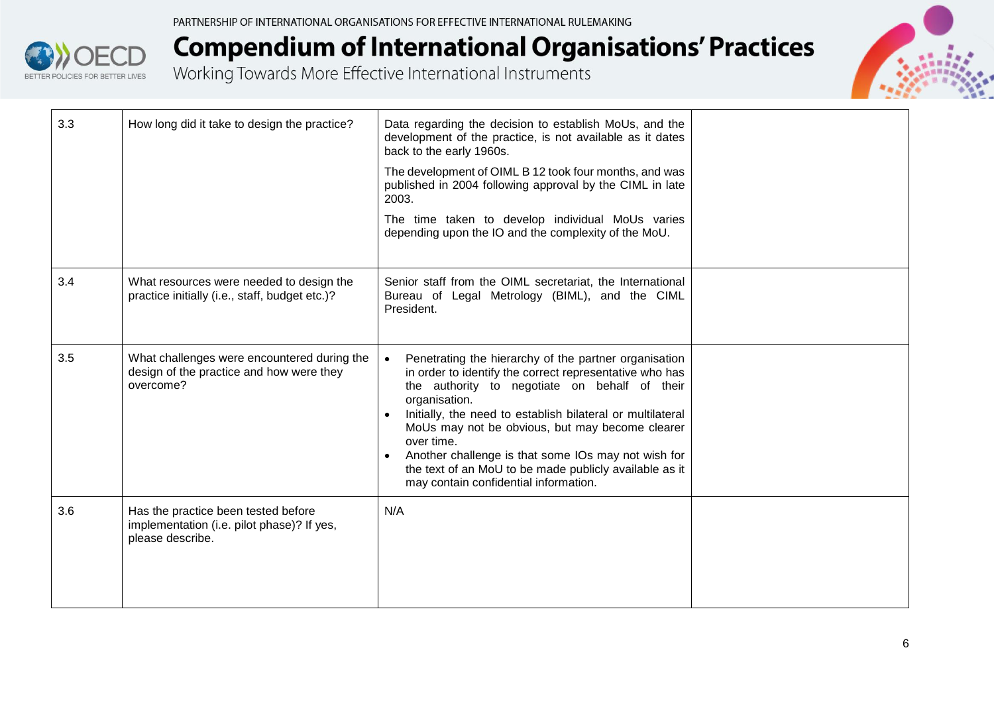



| 3.3 | How long did it take to design the practice?                                                          | Data regarding the decision to establish MoUs, and the<br>development of the practice, is not available as it dates<br>back to the early 1960s.<br>The development of OIML B 12 took four months, and was<br>published in 2004 following approval by the CIML in late<br>2003.<br>The time taken to develop individual MoUs varies<br>depending upon the IO and the complexity of the MoU.                                                                                               |  |
|-----|-------------------------------------------------------------------------------------------------------|------------------------------------------------------------------------------------------------------------------------------------------------------------------------------------------------------------------------------------------------------------------------------------------------------------------------------------------------------------------------------------------------------------------------------------------------------------------------------------------|--|
| 3.4 | What resources were needed to design the<br>practice initially (i.e., staff, budget etc.)?            | Senior staff from the OIML secretariat, the International<br>Bureau of Legal Metrology (BIML), and the CIML<br>President.                                                                                                                                                                                                                                                                                                                                                                |  |
| 3.5 | What challenges were encountered during the<br>design of the practice and how were they<br>overcome?  | Penetrating the hierarchy of the partner organisation<br>in order to identify the correct representative who has<br>the authority to negotiate on behalf of their<br>organisation.<br>Initially, the need to establish bilateral or multilateral<br>MoUs may not be obvious, but may become clearer<br>over time.<br>Another challenge is that some IOs may not wish for<br>$\bullet$<br>the text of an MoU to be made publicly available as it<br>may contain confidential information. |  |
| 3.6 | Has the practice been tested before<br>implementation (i.e. pilot phase)? If yes,<br>please describe. | N/A                                                                                                                                                                                                                                                                                                                                                                                                                                                                                      |  |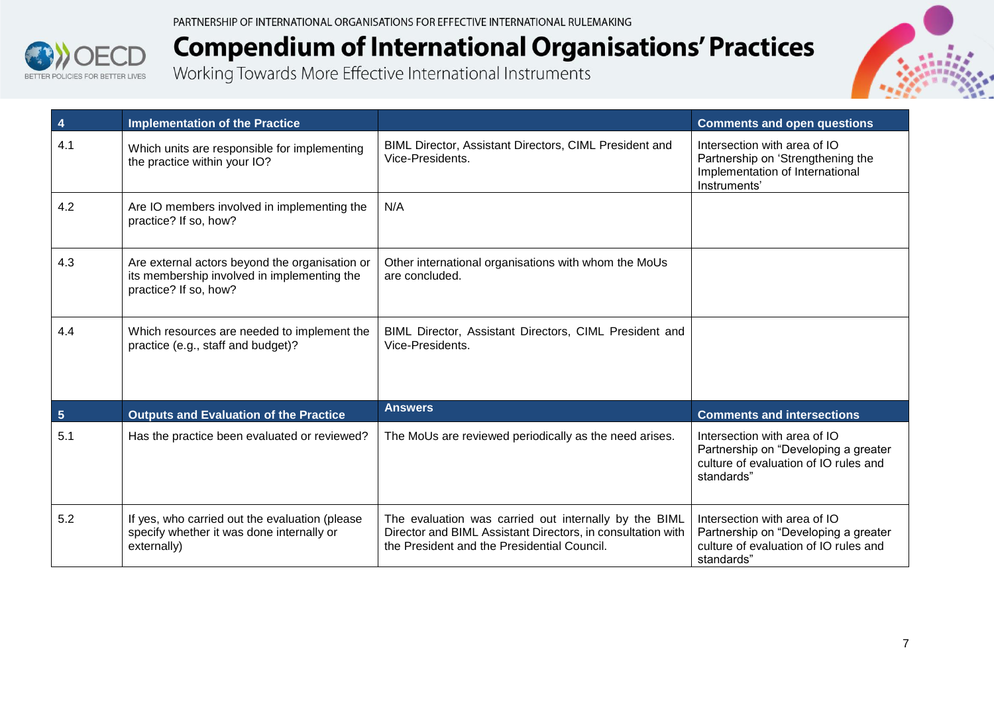



| 4               | <b>Implementation of the Practice</b>                                                                                  |                                                                                                                                                                     | <b>Comments and open questions</b>                                                                                          |
|-----------------|------------------------------------------------------------------------------------------------------------------------|---------------------------------------------------------------------------------------------------------------------------------------------------------------------|-----------------------------------------------------------------------------------------------------------------------------|
| 4.1             | Which units are responsible for implementing<br>the practice within your IO?                                           | BIML Director, Assistant Directors, CIML President and<br>Vice-Presidents.                                                                                          | Intersection with area of IO<br>Partnership on 'Strengthening the<br>Implementation of International<br>Instruments'        |
| 4.2             | Are IO members involved in implementing the<br>practice? If so, how?                                                   | N/A                                                                                                                                                                 |                                                                                                                             |
| 4.3             | Are external actors beyond the organisation or<br>its membership involved in implementing the<br>practice? If so, how? | Other international organisations with whom the MoUs<br>are concluded.                                                                                              |                                                                                                                             |
| 4.4             | Which resources are needed to implement the<br>practice (e.g., staff and budget)?                                      | BIML Director, Assistant Directors, CIML President and<br>Vice-Presidents.                                                                                          |                                                                                                                             |
| $5\phantom{.0}$ | <b>Outputs and Evaluation of the Practice</b>                                                                          | <b>Answers</b>                                                                                                                                                      | <b>Comments and intersections</b>                                                                                           |
| 5.1             | Has the practice been evaluated or reviewed?                                                                           | The MoUs are reviewed periodically as the need arises.                                                                                                              | Intersection with area of IO<br>Partnership on "Developing a greater<br>culture of evaluation of IO rules and<br>standards" |
| 5.2             | If yes, who carried out the evaluation (please<br>specify whether it was done internally or<br>externally)             | The evaluation was carried out internally by the BIML<br>Director and BIML Assistant Directors, in consultation with<br>the President and the Presidential Council. | Intersection with area of IO<br>Partnership on "Developing a greater<br>culture of evaluation of IO rules and<br>standards" |